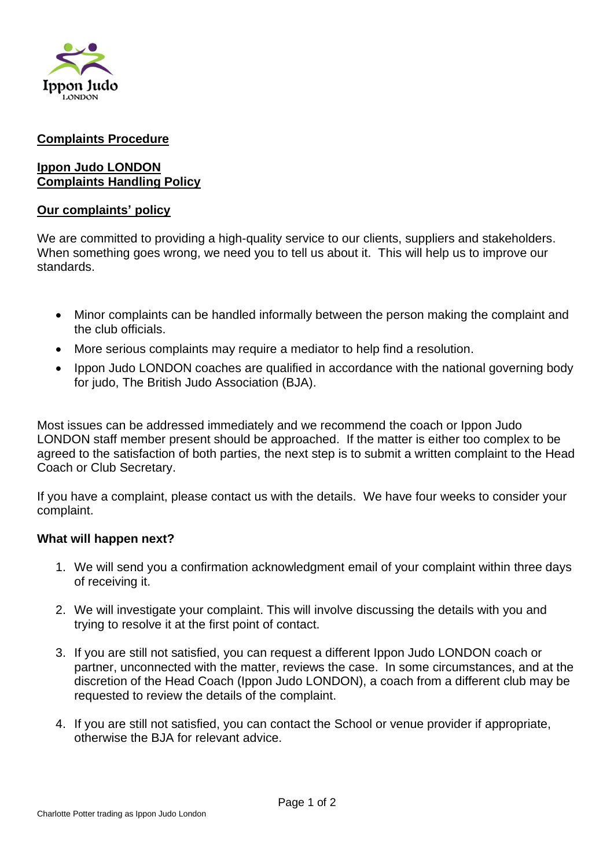

#### **Complaints Procedure**

### **Ippon Judo LONDON Complaints Handling Policy**

#### **Our complaints' policy**

We are committed to providing a high-quality service to our clients, suppliers and stakeholders. When something goes wrong, we need you to tell us about it. This will help us to improve our standards.

- Minor complaints can be handled informally between the person making the complaint and the club officials.
- More serious complaints may require a mediator to help find a resolution.
- Ippon Judo LONDON coaches are qualified in accordance with the national governing body for judo, The British Judo Association (BJA).

Most issues can be addressed immediately and we recommend the coach or Ippon Judo LONDON staff member present should be approached. If the matter is either too complex to be agreed to the satisfaction of both parties, the next step is to submit a written complaint to the Head Coach or Club Secretary.

If you have a complaint, please contact us with the details. We have four weeks to consider your complaint.

#### **What will happen next?**

- 1. We will send you a confirmation acknowledgment email of your complaint within three days of receiving it.
- 2. We will investigate your complaint. This will involve discussing the details with you and trying to resolve it at the first point of contact.
- 3. If you are still not satisfied, you can request a different Ippon Judo LONDON coach or partner, unconnected with the matter, reviews the case. In some circumstances, and at the discretion of the Head Coach (Ippon Judo LONDON), a coach from a different club may be requested to review the details of the complaint.
- 4. If you are still not satisfied, you can contact the School or venue provider if appropriate, otherwise the BJA for relevant advice.